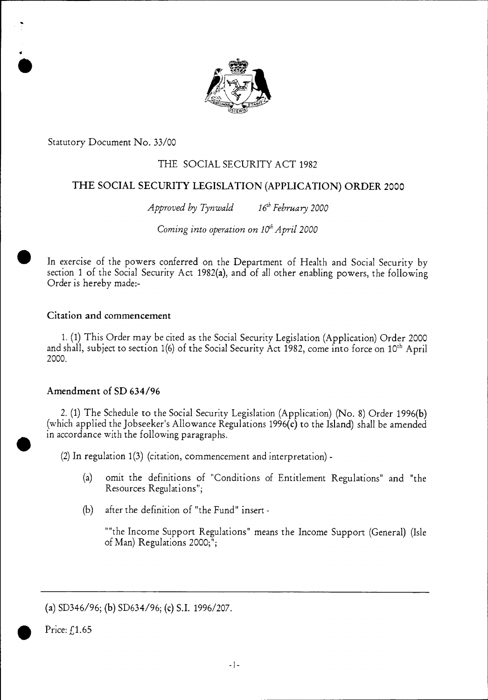

Statutory Document No. 33/00

 $\bullet$ 

# THE SOCIAL SECURITY ACT 1982

# THE SOCIAL SECURITY LEGISLATION (APPLICATION) ORDER 2000

*Approved by Tynwald* 16<sup>th</sup> February 2000

*Coming into operation on 10<sup>th</sup> April 2000* 

In exercise of the powers conferred on the Department of Health and Social Security by section 1 of the Social Security Act 1982(a), and of all other enabling powers, the following Order is hereby made:-

# Citation and commencement

1. (1) This Order may be cited as the Social Security Legislation (Application) Order 2000 and shall, subject to section 1(6) of the Social Security Act 1982, come into force on 10<sup>th</sup> April 2000.

# Amendment of SD 634/96

2. (1) The Schedule to the Social Security Legislation (Application) (No. 8) Order 1996(b) (which applied the Jobseeker's Allowance Regulations 1996(c) to the Island) shall be amended in accordance with the following paragraphs.

(2) In regulation 1(3) (citation, commencement and interpretation) -

- (a) omit the definitions of "Conditions of Entitlement Regulations" and "the Resources Regulations";
- (b) after the definition of "the Fund" insert -

"the Income Support Regulations" means the Income Support (General) (Isle of Man) Regulations 2000;";

Price:  $f$ 1.65

<sup>(</sup>a) SD346/96; (b) SD634/96; (c) S.I. 1996/207.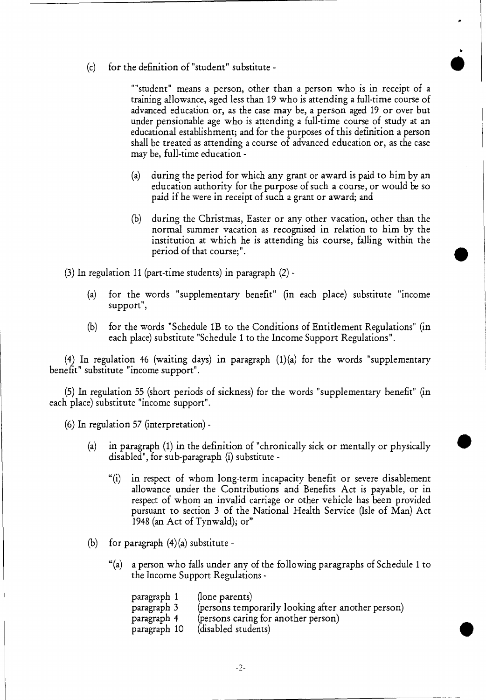(c) for the definition of "student" substitute - •

"student" means a person, other than a person who is in receipt of a training allowance, aged less than 19 who is attending a full-time course of advanced education or, as the case may be, a person aged 19 or over but under pensionable age who is attending a full-time course of study at an educational establishment; and for the purposes of this definition a person shall be treated as attending a course of advanced education or, as the case may be, full-time education -

- (a) during the period for which any grant or award is paid to him by an education authority for the purpose of such a course, or would be so paid if he were in receipt of such a grant or award; and
- (b) during the Christmas, Easter or any other vacation, other than the normal summer vacation as recognised in relation to him by the Institution at which he is attending his course, falling within the period of that course;".

(3) In regulation 11 (part-time students) in paragraph (2) -

- (a) for the words "supplementary benefit" (in each place) substitute "income support",
- (b) for the words "Schedule 1B to the Conditions of Entitlement Regulations" (in each place) substitute "Schedule 1 to the Income Support Regulations".

(4) In regulation 46 (waiting days) in paragraph (1)(a) for the words "supplementary benefit" substitute "income support".

(5) In regulation 55 (short periods of sickness) for the words "supplementary benefit" (in each place) substitute "income support".

(6) In regulation 57 (interpretation) -

- (a) in paragraph (1) in the definition of "chronically sick or mentally or physically disabled", for sub-paragraph (i) substitute -
	- "(i) in respect of whom long-term incapacity benefit or severe disablement allowance under the Contributions and Benefits Act is payable, or in respect of whom an invalid carriage or other vehicle has been provided pursuant to section 3 of the National Health Service (Isle of Man) Act 1948 (an Act of Tynwald); or"
- (b) for paragraph  $(4)(a)$  substitute -
	- "(a) a person who falls under any of the following paragraphs of Schedule 1 to the Income Support Regulations -

| paragraph 1  | (lone parents)                                     |
|--------------|----------------------------------------------------|
| paragraph 3  | (persons temporarily looking after another person) |
| paragraph 4  | (persons caring for another person)                |
| paragraph 10 | (disabled students)                                |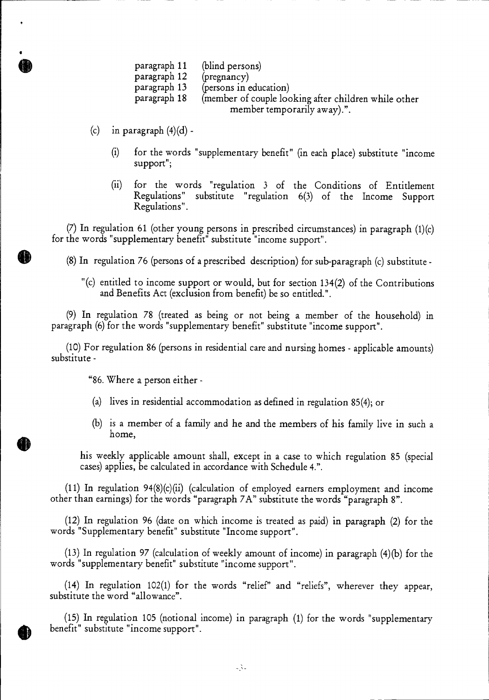- paragraph 11 (blind persons)
- paragraph 12 (pregnancy)
- paragraph 13 (persons in education)
- paragraph 18 (member of couple looking after children while other member temporarily away).".
- (c) in paragraph  $(4)(d)$  -
	- (i) for the words "supplementary benefit" (in each place) substitute "income support";
	- (ii) for the words "regulation 3 of the Conditions of Entitlement Regulations" substitute "regulation 6(3) of the Income Support Regulations".

(7) In regulation 61 (other young persons in prescribed circumstances) in paragraph (1)(c) for the words "supplementary benefit" substitute "income support".

- (8) In regulation 76 (persons of a prescribed description) for sub-paragraph (c) substitute
	- "(c) entitled to income support or would, but for section 134(2) of the Contributions and Benefits Act (exclusion from benefit) be so entitled.".

(9) In regulation 78 (treated as being or not being a member of the household) in paragraph (6) for the words "supplementary benefit" substitute "income support".

(10) For regulation 86 (persons in residential care and nursing homes - applicable amounts) substitute -

"86. Where a person either -

- (a) lives in residential accommodation as defined in regulation 85(4); or
- (b) is a member of a family and he and the members of his family live in such a home,

his weekly applicable amount shall, except in a case to which regulation 85 (special cases) applies, be calculated in accordance with Schedule 4.".

(11) In regulation 94(8)(c)(ii) (calculation of employed earners employment and income other than earnings) for the words "paragraph 7A" substitute the words "paragraph 8".

(12) In regulation 96 (date on which income is treated as paid) in paragraph (2) for the words "Supplementary benefit" substitute "Income support".

(13) In regulation 97 (calculation of weekly amount of income) in paragraph (4)(b) for the words "supplementary benefit" substitute "income support".

(14) In regulation 102(1) for the words "relief" and "reliefs", wherever they appear, substitute the word "allowance".

(15) In regulation 105 (notional income) in paragraph (1) for the words "supplementary benefit" substitute "income support".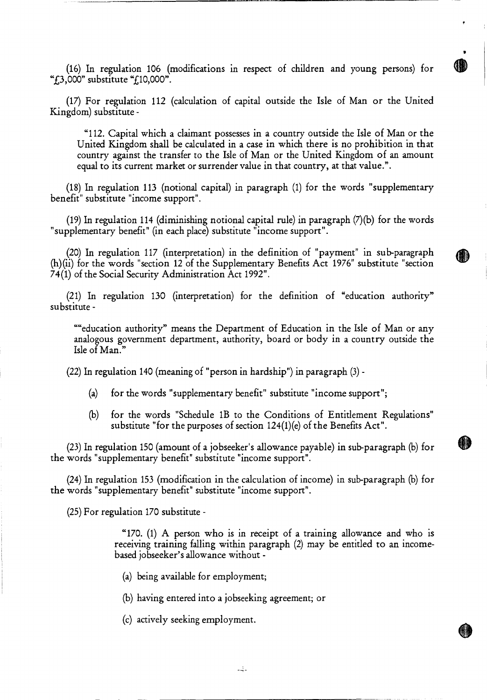(16) In regulation 106 (modifications in respect of children and young persons) for " $f_{\rm L}$ 3,000" substitute " $f_{\rm L}$ 10,000".

41

(17) For regulation 112 (calculation of capital outside the Isle of Man or the United Kingdom) substitute -

"112. Capital which a claimant possesses in a country outside the Isle of Man or the United Kingdom shall be calculated in a case in which there is no prohibition in that country against the transfer to the Isle of Man or the United Kingdom of an amount equal to its current market or surrender value in that country, at that value.".

(18) In regulation 113 (notional capital) in paragraph (1) for the words "supplementary benefit" substitute "income support".

(19) In regulation 114 (diminishing notional capital rule) in paragraph (7)(b) for the words "supplementary benefit" (in each place) substitute "income support".

(20) In regulation 117 (interpretation) in the definition of "payment" in sub-paragraph (h)(ii) for the words "section 12 of the Supplementary Benefits Act 1976" substitute "section 74(1) of the Social Security Administration Act 1992".

(21) In regulation 130 (interpretation) for the definition of "education authority" substitute -

""education authority" means the Department of Education in the Isle of Man or any analogous government department, authority, board or body in a country outside the Isle of Man."

(22) In regulation 140 (meaning of "person in hardship") in paragraph (3) -

- (a) for the words "supplementary benefit" substitute "income support";
- (b) for the words "Schedule 1B to the Conditions of Entitlement Regulations" substitute "for the purposes of section 124(1)(e) of the Benefits Act".

(23) In regulation 150 (amount of a jobseeker's allowance payable) in sub-paragraph (b) for • the words "supplementary benefit" substitute "income support".

(24) In regulation 153 (modification in the calculation of income) in sub-paragraph (b) for the words "supplementary benefit" substitute "income support".

(25) For regulation 170 substitute -

"170. (1) A person who is in receipt of a training allowance and who is receiving training falling within paragraph (2) may be entitled to an incomebased jobseeker's allowance without -

(a) being available for employment;

(b) having entered into a jobseeking agreement; or

(c) actively seeking employment.

 $-\frac{1}{2}$  -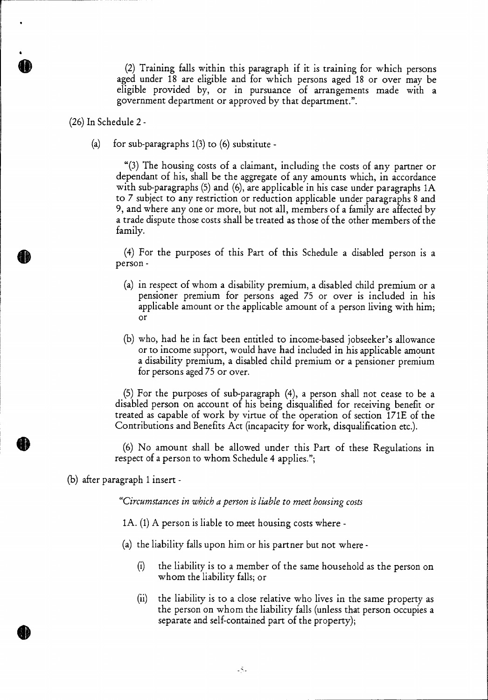(2) Training falls within this paragraph if it is training for which persons aged under 18 are eligible and for which persons aged 18 or over may be eligible provided by, or in pursuance of arrangements made with a government department or approved by that department.".

(26) In Schedule 2 -

(a) for sub-paragraphs  $1(3)$  to  $(6)$  substitute -

"(3) The housing costs of a claimant, including the costs of any partner or dependant of his, shall be the aggregate of any amounts which, in accordance with sub-paragraphs (5) and (6), are applicable in his case under paragraphs 1A to 7 subject to any restriction or reduction applicable under paragraphs 8 and 9, and where any one or more, but not all, members of a family are affected by a trade dispute those costs shall be treated as those of the other members of the family.

(4) For the purposes of this Part of this Schedule a disabled person is a person -

- (a) in respect of whom a disability premium, a disabled child premium or a pensioner premium for persons aged 75 or over is included in his applicable amount or the applicable amount of a person living with him; or
- (b) who, had he in fact been entitled to income-based jobseeker's allowance or to income support, would have had included in his applicable amount a disability premium, a disabled child premium or a pensioner premium for persons aged 75 or over.

(5) For the purposes of sub-paragraph (4), a person shall not cease to be a disabled person on account of his being disqualified for receiving benefit or treated as capable of work by virtue of the operation of section 171E of the Contributions and Benefits Act (incapacity for work, disqualification etc.).

(6) No amount shall be allowed under this Part of these Regulations in respect of a person to whom Schedule 4 applies.";

(b) after paragraph 1 insert *-* 

*"Circumstances in which a person is liable to meet housing costs* 

1A. (1) A person is liable to meet housing costs where -

(a) the liability falls upon him or his partner but not where -

- (i) the liability is to a member of the same household as the person on whom the liability falls; or
- (ii) the liability is to a close relative who lives in the same property as the person on whom the liability falls (unless that person occupies a separate and self-contained part of the property);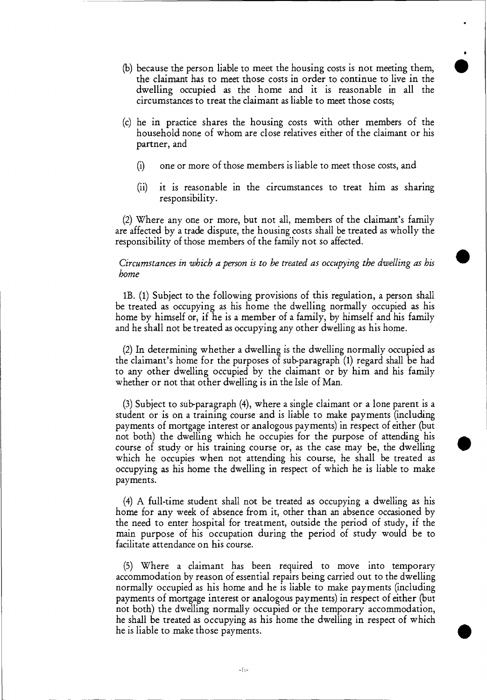- (b) because the person liable to meet the housing costs is not meeting them, the claimant has to meet those costs in order to continue to live in the dwelling occupied as the home and it is reasonable in all the circumstances to treat the claimant as liable to meet those costs;
- (c) he in practice shares the housing costs with other members of the household none of whom are close relatives either of the claimant or his partner, and
	- (i) one or more of those members is liable to meet those costs, and
	- (ii) it is reasonable in the circumstances to treat him as sharing responsibility.

(2) Where any one or more, but not all, members of the claimant's family are affected by a trade dispute, the housing costs shall be treated as wholly the responsibility of those members of the family not so affected.

#### *Circumstances in which a person is to be treated as occupying the dwelling as his home*

1B. (1) Subject to the following provisions of this regulation, a person shall be treated as occupying as his home the dwelling normally occupied as his home by himself or, if he is a member of a family, by himself and his family and he shall not be treated as occupying any other dwelling as his home.

(2)In determining whether a dwelling is the dwelling normally occupied as the claimant's home for the purposes of sub-paragraph (1) regard shall be had to any other dwelling occupied by the claimant or by him and his family whether or not that other dwelling is in the Isle of Man.

(3)Subject to sub-paragraph (4), where a single claimant or a lone parent is a student or is on a training course and is liable to make payments (including payments of mortgage interest or analogous payments) in respect of either (but not both) the dwelling which he occupies for the purpose of attending his course of study or his training course or, as the case may be, the dwelling which he occupies when not attending his course, he shall be treated as occupying as his home the dwelling in respect of which he is liable to make payments.

(4) A full-time student shall not be treated as occupying a dwelling as his home for any week of absence from it, other than an absence occasioned by the need to enter hospital for treatment, outside the period of study, if the main purpose of his occupation during the period of study would be to facilitate attendance on his course.

(5) Where a claimant has been required to move into temporary accommodation by reason of essential repairs being carried out to the dwelling normally occupied as his home and he is liable to make payments (including payments of mortgage interest or analogous payments) in respect of either (but not both) the dwelling normally occupied or the temporary accommodation, he shall be treated as occupying as his home the dwelling in respect of which he is liable to make those payments.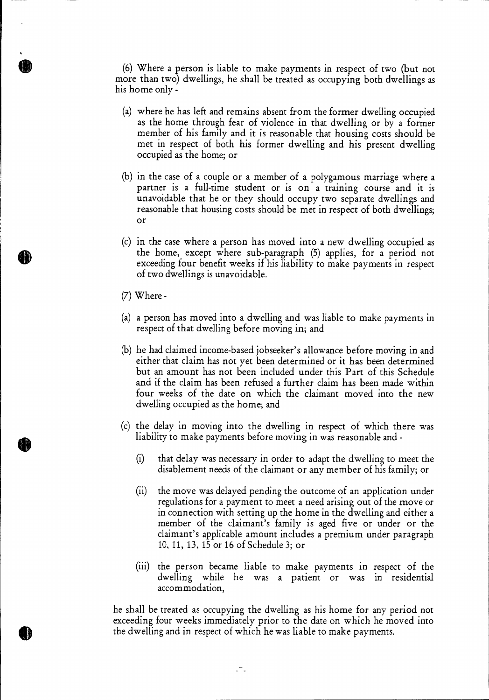(6) Where a person is liable to make payments in respect of two (but not more than two) dwellings, he shall be treated as occupying both dwellings as his home only -

- (a) where he has left and remains absent from the former dwelling occupied as the home through fear of violence in that dwelling or by a former member of his family and it is reasonable that housing costs should be met in respect of both his former dwelling and his present dwelling occupied as the home; or
- (b) in the case of a couple or a member of a polygamous marriage where a partner is a full-time student or is on a training course and it is unavoidable that he or they should occupy two separate dwellings and reasonable that housing costs should be met in respect of both dwellings; or
- (c) in the case where a person has moved into a new dwelling occupied as the home, except where sub-paragraph (5) applies, for a period not exceeding four benefit weeks if his liability to make payments in respect of two dwellings is unavoidable.
- (7) Where -
- (a) a person has moved into a dwelling and was liable to make payments in respect of that dwelling before moving in; and
- (b) he had claimed income-based jobseeker's allowance before moving in and either that claim has not yet been determined or it has been determined but an amount has not been included under this Part of this Schedule and if the claim has been refused a further claim has been made within four weeks of the date on which the claimant moved into the new dwelling occupied as the home; and
- (c) the delay in moving into the dwelling in respect of which there was liability to make payments before moving in was reasonable and -
	- (i) that delay was necessary in order to adapt the dwelling to meet the disablement needs of the claimant or any member of his family; or
	- (ii) the move was delayed pending the outcome of an application under regulations for a payment to meet a need arising out of the move or in connection with setting up the home in the dwelling and either a member of the claimant's family is aged five or under or the claimant's applicable amount includes a premium under paragraph 10, 11, 13, 15 or 16 of Schedule 3; or
	- (iii) the person became liable to make payments in respect of the dwelling while he was a patient or was in residential accommodation,

he shall be treated as occupying the dwelling as his home for any period not exceeding four weeks immediately prior to the date on which he moved into the dwelling and in respect of which he was liable to make payments.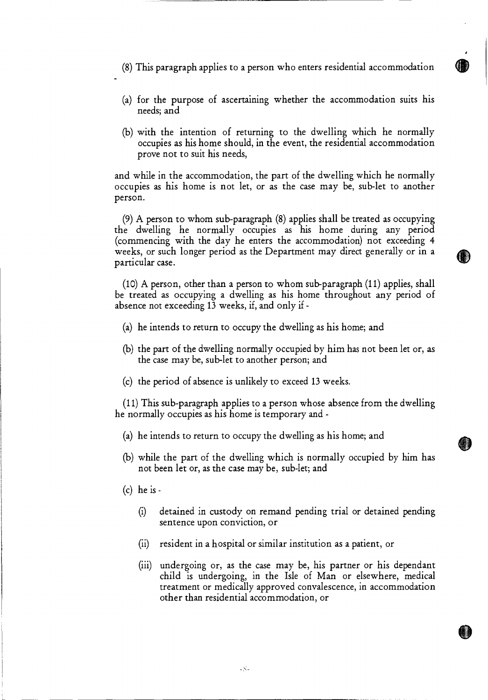- (8) This paragraph applies to a person who enters residential accommodation
- (a) for the purpose of ascertaining whether the accommodation suits his needs; and
- (b) with the intention of returning to the dwelling which he normally occupies as his home should, in the event, the residential accommodation prove not to suit his needs,

and while in the accommodation, the part of the dwelling which he normally occupies as his home is not let, or as the case may be, sub-let to another person.

(9) A person to whom sub-paragraph (8) applies shall be treated as occupying the dwelling he normally occupies as his home during any period (commencing with the day he enters the accommodation) not exceeding 4 weeks, or such longer period as the Department may direct generally or in a particular case.

(10) A person, other than a person to whom sub-paragraph (11) applies, shall be treated as occupying a dwelling as his home throughout any period of absence not exceeding 13 weeks, if, and only if -

- (a) he intends to return to occupy the dwelling as his home; and
- (b) the part of the dwelling normally occupied by him has not been let or, as the case may be, sub-let to another person; and
- (c) the period of absence is unlikely to exceed 13 weeks.

(11) This sub-paragraph applies to a person whose absence from the dwelling he normally occupies as his home is temporary and -

- (a) he intends to return to occupy the dwelling as his home; and
- (b) while the part of the dwelling which is normally occupied by him has not been let or, as the case may be, sub-let; and
- $(c)$  he is -
	- (i) detained in custody on remand pending trial or detained pending sentence upon conviction, or
	- (ii) resident in a hospital or similar institution as a patient, or

 $-5$ 

(iii) undergoing or, as the case may be, his partner or his dependant child is undergoing, in the Isle of Man or elsewhere, medical treatment or medically approved convalescence, in accommodation other than residential accommodation, or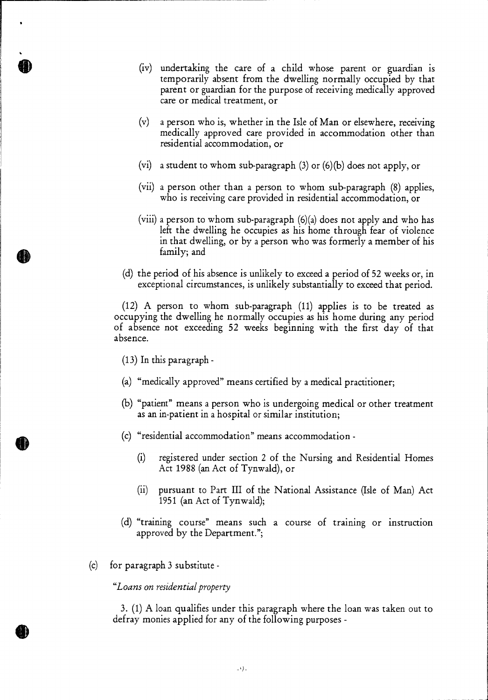- (iv) undertaking the care of a child whose parent or guardian is temporarily absent from the dwelling normally occupied by that parent or guardian for the purpose of receiving medically approved care or medical treatment, or
- (v) a person who is, whether in the Isle of Man or elsewhere, receiving medically approved care provided in accommodation other than residential accommodation, or
- (vi) a student to whom sub-paragraph  $(3)$  or  $(6)(b)$  does not apply, or
- (vii) a person other than a person to whom sub-paragraph (8) applies, who is receiving care provided in residential accommodation, or
- (viii) a person to whom sub-paragraph (6)(a) does not apply and who has left the dwelling he occupies as his home through fear of violence in that dwelling, or by a person who was formerly a member of his family; and
- (d) the period of his absence is unlikely to exceed a period of 52 weeks or, in exceptional circumstances, is unlikely substantially to exceed that period.

(12) A person to whom sub-paragraph (11) applies is to be treated as occupying the dwelling he normally occupies as his home during any period of absence not exceeding 52 weeks beginning with the first day of that absence.

- (13) In this paragraph -
- (a) "medically approved" means certified by a medical practitioner;
- (b) "patient" means a person who is undergoing medical or other treatment as an in-patient in a hospital or similar institution;
- (c) "residential accommodation" means accommodation
	- (i) registered under section 2 of the Nursing and Residential Homes Act 1988 (an Act of Tynwald), or
	- (ii) pursuant to Part III of the National Assistance (Isle of Man) Act 1951 (an Act of Tynwald);
- (d) "training course" means such a course of training or instruction approved by the Department.";
- (c) for paragraph 3 substitute

#### *"Loans on residential property*

3. (1) A loan qualifies under this paragraph where the loan was taken out to defray monies applied for any of the following purposes -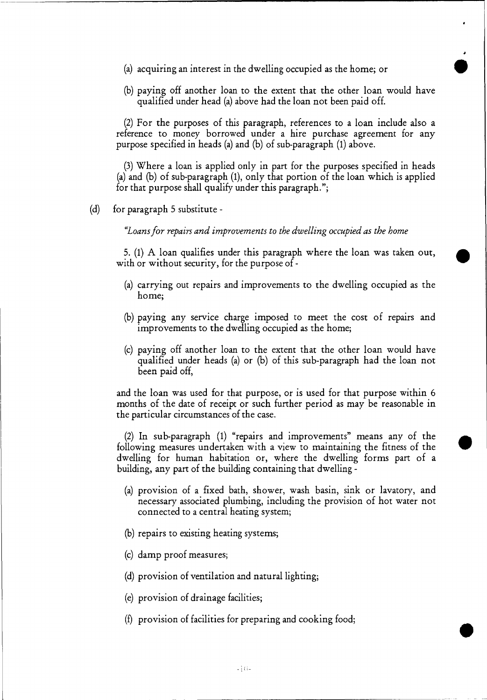- (a) acquiring an interest in the dwelling occupied as the home; or •
- (b) paying off another loan to the extent that the other loan would have qualified under head (a) above had the loan not been paid off.

(2) For the purposes of this paragraph, references to a loan include also a reference to money borrowed under a hire purchase agreement for any purpose specified in heads (a) and (b) of sub-paragraph (1) above.

(3)Where a loan is applied only in part for the purposes specified in heads (a) and (b) of sub-paragraph (1), only that portion of the loan which is applied for that purpose shall qualify under this paragraph.";

(d) for paragraph 5 substitute *-* 

*"Loans for repairs and improvements to the dwelling occupied as the home* 

5. (1) A loan qualifies under this paragraph where the loan was taken out, with or without security, for the purpose of -

- (a) carrying out repairs and improvements to the dwelling occupied as the home;
- (b) paying any service charge imposed to meet the cost of repairs and improvements to the dwelling occupied as the home;
- (c) paying off another loan to the extent that the other loan would have qualified under heads (a) or (b) of this sub-paragraph had the loan not been paid off,

and the loan was used for that purpose, or is used for that purpose within 6 months of the date of receipt or such further period as may be reasonable in the particular circumstances of the case.

*(2)* In sub-paragraph (1) "repairs and improvements" means any of the following measures undertaken with a view to maintaining the fitness of the dwelling for human habitation or, where the dwelling forms part of a building, any part of the building containing that dwelling -

- (a) provision of a fixed bath, shower, wash basin, sink or lavatory, and necessary associated plumbing, including the provision of hot water not connected to a central heating system;
- (b) repairs to existing heating systems;
- (c) damp proof measures;
- (d) provision of ventilation and natural lighting;
- (e) provision of drainage facilities;
- (f) provision of facilities for preparing and cooking food;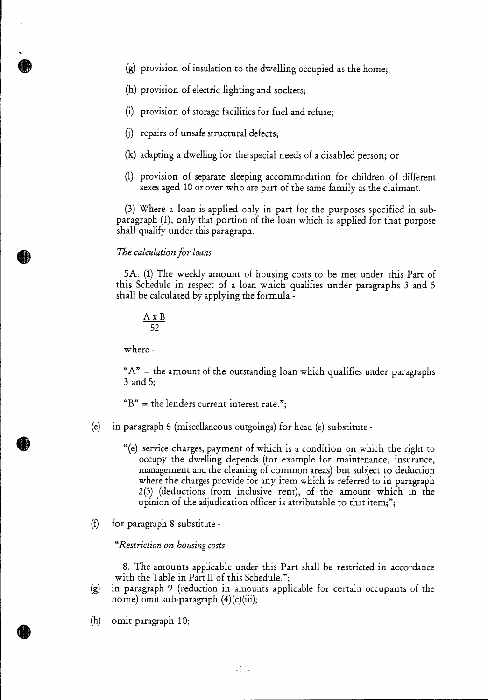- (g) provision of insulation to the dwelling occupied as the home;
- (h) provision of electric lighting and sockets;
- (i) provision of storage facilities for fuel and refuse;
- (j) repairs of unsafe structural defects;
- (k) adapting a dwelling for the special needs of a disabled person; or
- (1) provision of separate sleeping accommodation for children of different sexes aged 10 or over who are part of the same family as the claimant.

(3) Where a loan is applied only in part for the purposes specified in subparagraph (1), only that portion of the loan which is applied for that purpose shall qualify under this paragraph.

#### *The calculation for loans*

5A. (1) The weekly amount of housing costs to be met under this Part of this Schedule in respect of a loan which qualifies under paragraphs 3 and 5 shall be calculated by applying the formula -

$$
\frac{A \times B}{52}
$$

where -

 $A''$  = the amount of the outstanding loan which qualifies under paragraphs 3 and 5;

 $\mathbf{B}^n$  = the lenders current interest rate.";

- (e) in paragraph 6 (miscellaneous outgoings) for head (e) substitute
	- "(e) service charges, payment of which is a condition on which the right to occupy the dwelling depends (for example for maintenance, insurance, management and the cleaning of common areas) but subject to deduction where the charges provide for any item which is referred to in paragraph 2(3) (deductions from inclusive rent), of the amount which in the opinion of the adjudication officer is attributable to that item;";
- (f) for paragraph 8 substitute

*"Restriction on housing costs* 

8. The amounts applicable under this Part shall be restricted in accordance with the Table in Part II of this Schedule.";

- (g) in paragraph 9 (reduction in amounts applicable for certain occupants of the home) omit sub-paragraph  $(4)(c)(iii)$ ;
- (h) omit paragraph 10;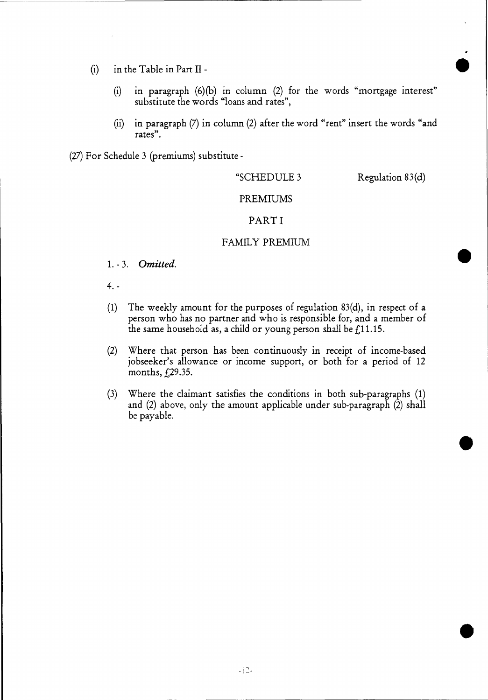- (i) in the Table in Part II  $\bullet$ 
	- (i) in paragraph (6)(b) in column (2) for the words "mortgage interest" substitute the words "loans and rates",
	- (ii) in paragraph (7) in column (2) after the word "rent" insert the words "and rates".

(27) For Schedule 3 (premiums) substitute -

#### "SCHEDULE 3 Regulation 83(d)

#### PREMIUMS

# PART I

# FAMILY PREMIUM

- 1. 3. *Omitted.*
- 4. -
- (1) The weekly amount for the purposes of regulation 83(d), in respect of a person who has no partner and who is responsible for, and a member of the same household as, a child or young person shall be  $f<sub>11.15</sub>$ .
- (2) Where that person has been continuously in receipt of income-based jobseeker's allowance or income support, or both for a period of 12 months, £29.35.
- (3) Where the claimant satisfies the conditions in both sub-paragraphs (1) and (2) above, only the amount applicable under sub-paragraph (2) shall be payable.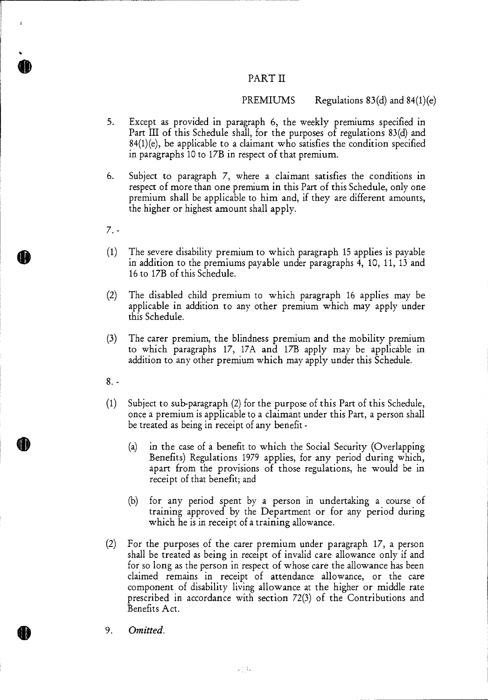# PART II

# PREMIUMS Regulations  $83(d)$  and  $84(1)(e)$

- 5. Except as provided in paragraph 6, the weekly premiums specified in Part III of this Schedule shall, for the purposes of regulations 83(d) and  $84(1)(e)$ , be applicable to a claimant who satisfies the condition specified in paragraphs 10 to 17B in respect of that premium.
- 6. Subject to paragraph 7, where a claimant satisfies the conditions in respect of more than one premium in this Part of this Schedule, only one premium shall be applicable to him and, if they are different amounts, the higher or highest amount shall apply.
- $7. -$

**0** 

- $(1)$ The severe disability premium to which paragraph 15 applies is payable in addition to the premiums payable under paragraphs 4, 10, 11, 13 and 16 to 17B of this Schedule.
- $(2)$ The disabled child premium to which paragraph 16 applies may be applicable in addition to any other premium which may apply under this Schedule.
- (3) The carer premium, the blindness premium and the mobility premium to which paragraphs 17, 17A and 17B apply may be applicable in addition to any other premium which may apply under this Schedule.
- 8. -
- (1) Subject to sub-paragraph (2) for the purpose of this Part of this Schedule, once a premium is applicable to a claimant under this Part, a person shall be treated as being in receipt of any benefit -
	- (a) in the case of a benefit to which the Social Security (Overlapping Benefits) Regulations 1979 applies, for any period during which, apart from the provisions of those regulations, he would be in receipt of that benefit; and
	- (b) for any period spent by a person in undertaking a course of training approved by the Department or for any period during which he is in receipt of a training allowance.
- (2) For the purposes of the carer premium under paragraph 17, a person shall be treated as being in receipt of invalid care allowance only if and for so long as the person in respect of whose care the allowance has been claimed remains in receipt of attendance allowance, or the care component of disability living allowance at the higher or middle rate prescribed in accordance with section 72(3) of the Contributions and Benefits Act.
- 411) 9. *Omitted.*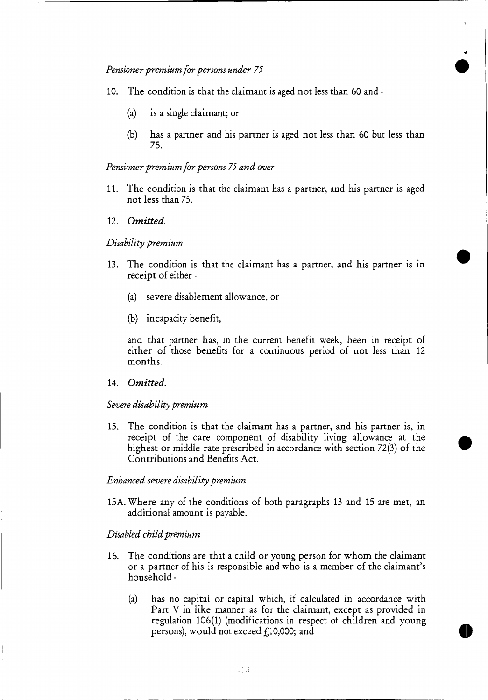- 10. The condition is that the claimant is aged not less than 60 and
	- (a) is a single claimant; or
	- (b) has a partner and his partner is aged not less than 60 but less than 75.

•

#### *Pensioner premium for persons 75 and over*

- 11. The condition is that the claimant has a partner, and his partner is aged not less than 75.
- 12. *Omitted.*

#### *Disability premium*

- 13. The condition is that the claimant has a partner, and his partner is in receipt of either -
	- (a) severe disablement allowance, or
	- (b) incapacity benefit,

and that partner has, in the current benefit week, been in receipt of either of those benefits for a continuous period of not less than 12 months.

#### 14. *Omitted.*

#### *Severe disability premium*

15. The condition is that the claimant has a partner, and his partner is, in receipt of the care component of disability living allowance at the highest or middle rate prescribed in accordance with section 72(3) of the Contributions and Benefits Act.

#### *Enhanced severe disability premium*

15A. Where any of the conditions of both paragraphs 13 and 15 are met, an additional amount is payable.

#### *Disabled child premium*

- 16. The conditions are that a child or young person for whom the claimant or a partner of his is responsible and who is a member of the claimant's household -
	- (a) has no capital or capital which, if calculated in accordance with Part V in like manner as for the claimant, except as provided in regulation 106(1) (modifications in respect of children and young persons), would not exceed  $f<sub>10</sub>$ ,000; and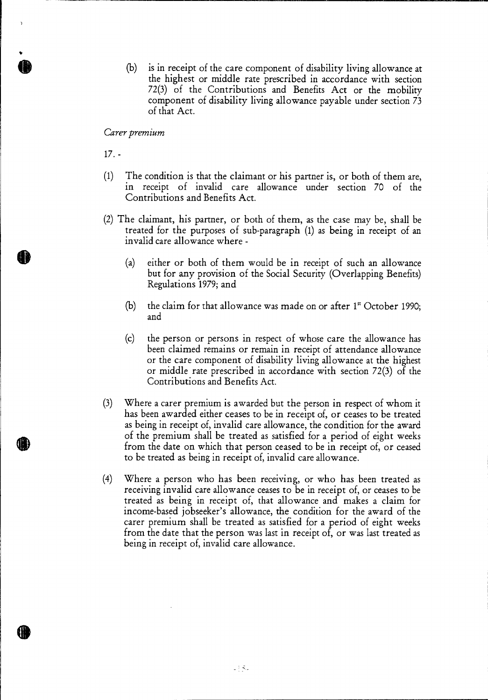(b) is in receipt of the care component of disability living allowance at the highest or middle rate prescribed in accordance with section 72(3) of the Contributions and Benefits Act or the mobility component of disability living allowance payable under section 73 of that Act.

#### *Carer premium*

*17 . -* 

- (1) The condition is that the claimant or his partner is, or both of them are, in receipt of invalid care allowance under section 70 of the Contributions and Benefits Act.
- (2) The claimant, his partner, or both of them, as the case may be, shall be treated for the purposes of sub-paragraph (1) as being in receipt of an invalid care allowance where -
	- (a) either or both of them would be in receipt of such an allowance but for any provision of the Social Security (Overlapping Benefits) Regulations 1979; and
	- (b) the claim for that allowance was made on or after  $1<sup>*</sup>$  October 1990; and
	- (c) the person or persons in respect of whose care the allowance has been claimed remains or remain in receipt of attendance allowance or the care component of disability living allowance at the highest or middle rate prescribed in accordance with section 72(3) of the Contributions and Benefits Act.
- (3) Where a carer premium is awarded but the person in respect of whom it has been awarded either ceases to be in receipt of, or ceases to be treated as being in receipt of, invalid care allowance, the condition for the award of the premium shall be treated as satisfied for a period of eight weeks from the date on which that person ceased to be in receipt of, or ceased to be treated as being in receipt of, invalid care allowance.
- (4) Where a person who has been receiving, or who has been treated as receiving invalid care allowance ceases to be in receipt of, or ceases to be treated as being in receipt of, that allowance and makes a claim for income-based jobseeker's allowance, the condition for the award of the carer premium shall be treated as satisfied for a period of eight weeks from the date that the person was last in receipt of, or was last treated as being in receipt of, invalid care allowance.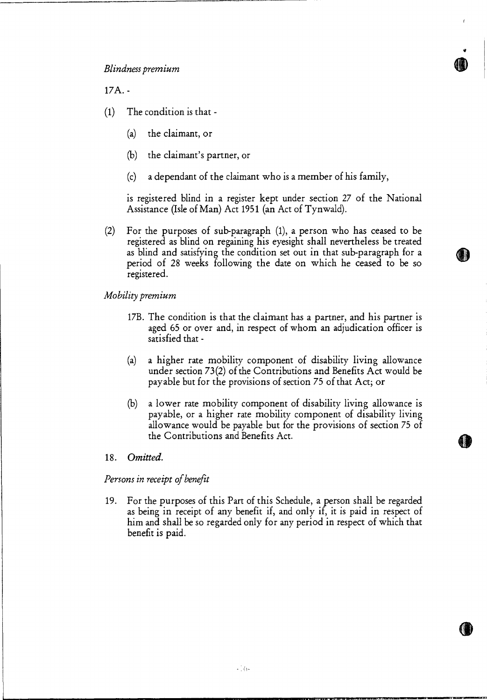17A. -

- (1) The condition is that -
	- (a) the claimant, or
	- (b) the claimant's partner, or
	- (c) a dependant of the claimant who is a member of his family,

is registered blind in a register kept under section 27 of the National Assistance (Isle of Man) Act 1951 (an Act of Tynwald).

.

(2) For the purposes of sub-paragraph (1), a person who has ceased to be registered as blind on regaining his eyesight shall nevertheless be treated as blind and satisfying the condition set out in that sub-paragraph for a period of 28 weeks following the date on which he ceased to be so registered.

*Mobility premium* 

- 17B. The condition is that the claimant has a partner, and his partner is aged 65 or over and, in respect of whom an adjudication officer is satisfied that -
- (a) a higher rate mobility component of disability living allowance under section 73(2) of the Contributions and Benefits Act would be payable but for the provisions of section 75 of that Act; or
- (b) a lower rate mobility component of disability living allowance is payable, or a higher rate mobility component of disability living allowance would be payable but for the provisions of section 75 of the Contributions and Benefits Act.

#### 18 *Omitted.*

*Persons in receipt of benefit* 

19. For the purposes of this Part of this Schedule, a person shall be regarded as being in receipt of any benefit if, and only if, it is paid in respect of him and shall be so regarded only for any period in respect of which that benefit is paid.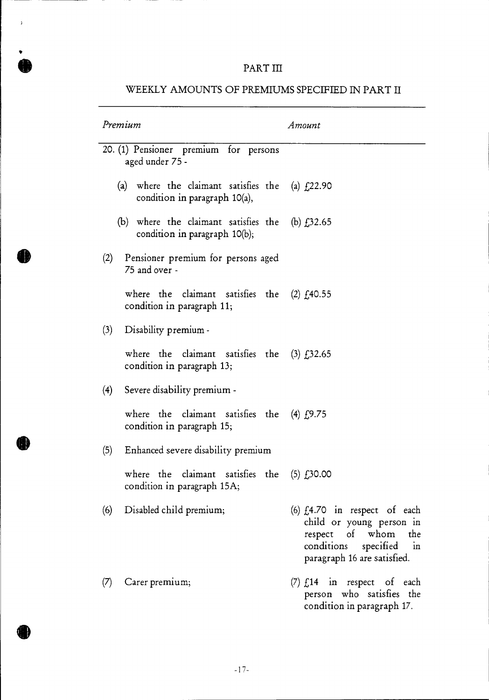# PART III

 $\bar{\phantom{a}}$ 

| Premium                                                                                 | Amount                                                                                                                                                      |  |
|-----------------------------------------------------------------------------------------|-------------------------------------------------------------------------------------------------------------------------------------------------------------|--|
| 20. (1) Pensioner premium for persons<br>aged under 75 -                                |                                                                                                                                                             |  |
| (a) where the claimant satisfies the (a) $f(22.90)$<br>condition in paragraph $10(a)$ , |                                                                                                                                                             |  |
| (b) where the claimant satisfies the (b) $f,32.65$<br>condition in paragraph 10(b);     |                                                                                                                                                             |  |
| Pensioner premium for persons aged<br>(2)<br>75 and over -                              |                                                                                                                                                             |  |
| where the claimant satisfies the $(2)$ $f140.55$<br>condition in paragraph 11;          |                                                                                                                                                             |  |
| (3)<br>Disability premium -                                                             |                                                                                                                                                             |  |
| where the claimant satisfies the $(3)$ $f,32.65$<br>condition in paragraph 13;          |                                                                                                                                                             |  |
| (4)<br>Severe disability premium -                                                      |                                                                                                                                                             |  |
| where the claimant satisfies the $(4)$ $f(9.75)$<br>condition in paragraph 15;          |                                                                                                                                                             |  |
| (5)<br>Enhanced severe disability premium                                               |                                                                                                                                                             |  |
| where the claimant satisfies the<br>condition in paragraph 15A;                         | $(5)$ $f30.00$                                                                                                                                              |  |
| Disabled child premium;<br>(6)                                                          | (6) $f_4$ .70 in respect of each<br>child or young person in<br>respect of whom the<br>conditions specified<br>$\frac{1}{2}$<br>paragraph 16 are satisfied. |  |
| Carer premium;<br>(7)                                                                   | $(7) f14$ in respect of each<br>person who satisfies the<br>condition in paragraph 17.                                                                      |  |

# WEEKLY AMOUNTS OF PREMIUMS SPECIFIED IN PART II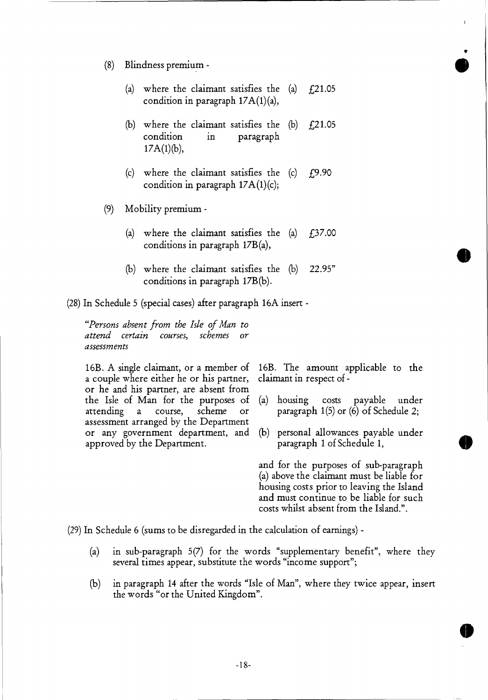- (8) Blindness premium •
	- (a) where the claimant satisfies the  $(a)$   $f(21.05)$ condition in paragraph 17A(1)(a),
	- (b) where the claimant satisfies the  $(b)$   $f21.05$  condition in paragraph paragraph  $17A(1)(b)$ ,
	- (c) where the claimant satisfies the  $(c)$   $f(9.90)$ condition in paragraph  $17A(1)(c)$ ;
- (9) Mobility premium
	- (a) where the claimant satisfies the  $(a)$   $f_1$ 37.00 conditions in paragraph 17B(a),
	- (b) where the claimant satisfies the (b) 22.95" conditions in paragraph 17B(b).

(28) In Schedule 5 (special cases) after paragraph 16A insert *-* 

*"Persons absent from the Isle of Man to attend certain courses, schemes or assessments* 

16B. A single claimant, or a member of a couple where either he or his partner, or he and his partner, are absent from the Isle of Man for the purposes of attending a course, scheme or assessment arranged by the Department or any government department, and approved by the Department.

16B. The amount applicable to the claimant in respect of -

- (a) housing costs payable under paragraph 1(5) or (6) of Schedule 2;
- (b) personal allowances payable under paragraph 1 of Schedule 1,

and for the purposes of sub-paragraph (a) above the claimant must be liable for housing costs prior to leaving the Island and must continue to be liable for such costs whilst absent from the Island.".

(29) In Schedule 6 (sums to be disregarded in the calculation of earnings) -

- (a) in sub-paragraph 5(7) for the words "supplementary benefit", where they several times appear, substitute the words "income support";
- (b) in paragraph 14 after the words "Isle of Man", where they twice appear, insert the words "or the United Kingdom".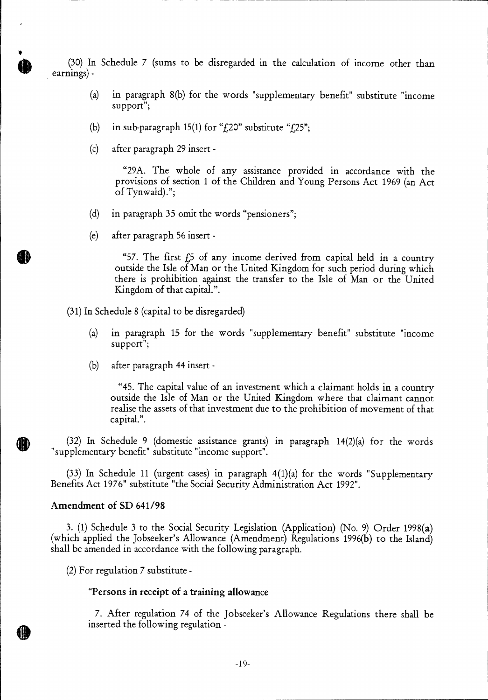(30) In Schedule 7 (sums to be disregarded in the calculation of income other than earnings) -

- (a) in paragraph 8(b) for the words "supplementary benefit" substitute "income support";
- (b) in sub-paragraph 15(1) for " $f$ , 20" substitute " $f$ , 25";
- (c) after paragraph 29 insert -

 $\pmb{\cdot}$ 

"29A. The whole of any assistance provided in accordance with the provisions of section 1 of the Children and Young Persons Act 1969 (an Act of Tynwald).";

- (d) in paragraph 35 omit the words "pensioners";
- (e) after paragraph 56 insert -

"57. The first  $f_2$  of any income derived from capital held in a country outside the Isle of Man or the United Kingdom for such period during which there is prohibition against the transfer to the Isle of Man or the United Kingdom of that capital.".

(31) In Schedule 8 (capital to be disregarded)

- (a) in paragraph 15 for the words "supplementary benefit" substitute "income support";
- (b) after paragraph 44 insert -

"45. The capital value of an investment which a claimant holds in a country outside the Isle of Man or the United Kingdom where that claimant cannot realise the assets of that investment due to the prohibition of movement of that capital.".

(32) In Schedule 9 (domestic assistance grants) in paragraph 14(2)(a) for the words "supplementary benefit" substitute "income support".

(33) In Schedule 11 (urgent cases) in paragraph 4(1)(a) for the words "Supplementary Benefits Act 1976" substitute "the Social Security Administration Act 1992".

### **Amendment of SD 641/98**

3. (1) Schedule 3 to the Social Security Legislation (Application) (No. 9) Order 1998(a) (which applied the Jobseeker's Allowance (Amendment) Regulations 1996(b) to the Island) shall be amended in accordance with the following paragraph.

(2) For regulation 7 substitute **-** 

#### **"Persons in receipt of a training allowance**

7. After regulation 74 of the Jobseeker's Allowance Regulations there shall be inserted the following regulation -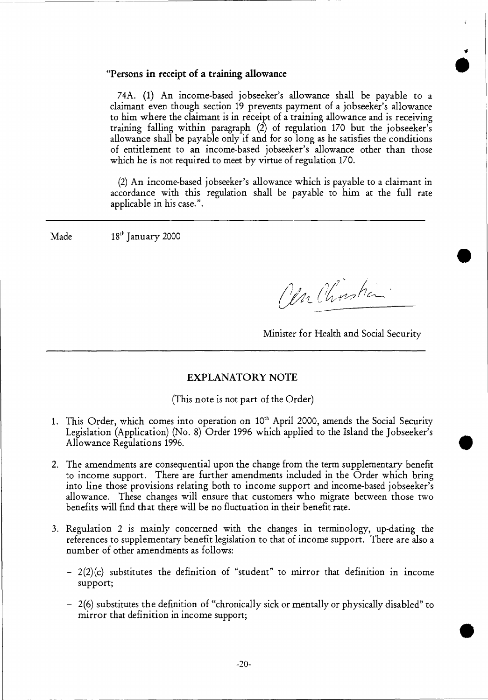### **"Persons in receipt of a training allowance**

74A. (1) An income-based jobseeker's allowance shall be payable to a claimant even though section 19 prevents payment of a jobseeker's allowance to him where the claimant is in receipt of a training allowance and is receiving training falling within paragraph (2) of regulation 170 but the jobseeker's allowance shall be payable only if and for so long as he satisfies the conditions of entitlement to an income-based jobseeker's allowance other than those which he is not required to meet by virtue of regulation 170.

(2) An income-based jobseeker's allowance which is payable to a claimant in accordance with this regulation shall be payable to him at the full rate applicable in his case.".

 $\text{Made}$  18<sup>th</sup> January 2000

(Un Chosta

**i** •

Minister for Health and Social Security

### **EXPLANATORY NOTE**

(This note is not part of the Order)

- 1. This Order, which comes into operation on  $10<sup>th</sup>$  April 2000, amends the Social Security Legislation (Application) (No. 8) Order 1996 which applied to the Island the Jobseeker's Allowance Regulations 1996.
- 2. The amendments are consequential upon the change from the term supplementary benefit to income support. There are further amendments included in the Order which bring into line those provisions relating both to income support and income-based jobseeker's allowance. These changes will ensure that customers who migrate between those two benefits will find that there will be no fluctuation in their benefit rate.
- 3. Regulation 2 is mainly concerned with the changes in terminology, up-dating the references to supplementary benefit legislation to that of income support. There are also a number of other amendments as follows:
	- $-2(2)(c)$  substitutes the definition of "student" to mirror that definition in income support;
	- —2(6) substitutes the definition of "chronically sick or mentally or physically disabled" to mirror that definition in income support;